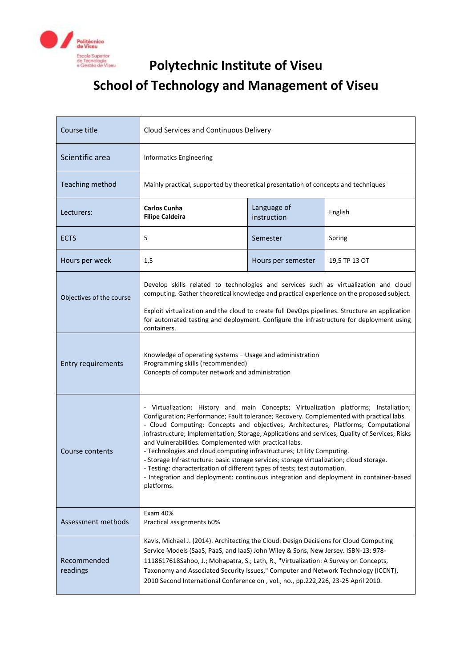

## **Polytechnic Institute of Viseu School of Technology and Management of Viseu**

| Course title              | Cloud Services and Continuous Delivery                                                                                                                                                                                                                                                                                                                                                                                                                                                                                                                                                                                                                                                                                                                                                         |                            |               |
|---------------------------|------------------------------------------------------------------------------------------------------------------------------------------------------------------------------------------------------------------------------------------------------------------------------------------------------------------------------------------------------------------------------------------------------------------------------------------------------------------------------------------------------------------------------------------------------------------------------------------------------------------------------------------------------------------------------------------------------------------------------------------------------------------------------------------------|----------------------------|---------------|
| Scientific area           | <b>Informatics Engineering</b>                                                                                                                                                                                                                                                                                                                                                                                                                                                                                                                                                                                                                                                                                                                                                                 |                            |               |
| <b>Teaching method</b>    | Mainly practical, supported by theoretical presentation of concepts and techniques                                                                                                                                                                                                                                                                                                                                                                                                                                                                                                                                                                                                                                                                                                             |                            |               |
| Lecturers:                | <b>Carlos Cunha</b><br><b>Filipe Caldeira</b>                                                                                                                                                                                                                                                                                                                                                                                                                                                                                                                                                                                                                                                                                                                                                  | Language of<br>instruction | English       |
| <b>ECTS</b>               | 5                                                                                                                                                                                                                                                                                                                                                                                                                                                                                                                                                                                                                                                                                                                                                                                              | Semester                   | Spring        |
| Hours per week            | 1,5                                                                                                                                                                                                                                                                                                                                                                                                                                                                                                                                                                                                                                                                                                                                                                                            | Hours per semester         | 19,5 TP 13 OT |
| Objectives of the course  | Develop skills related to technologies and services such as virtualization and cloud<br>computing. Gather theoretical knowledge and practical experience on the proposed subject.<br>Exploit virtualization and the cloud to create full DevOps pipelines. Structure an application<br>for automated testing and deployment. Configure the infrastructure for deployment using<br>containers.                                                                                                                                                                                                                                                                                                                                                                                                  |                            |               |
| <b>Entry requirements</b> | Knowledge of operating systems - Usage and administration<br>Programming skills (recommended)<br>Concepts of computer network and administration                                                                                                                                                                                                                                                                                                                                                                                                                                                                                                                                                                                                                                               |                            |               |
| Course contents           | - Virtualization: History and main Concepts; Virtualization platforms; Installation;<br>Configuration; Performance; Fault tolerance; Recovery. Complemented with practical labs.<br>- Cloud Computing: Concepts and objectives; Architectures; Platforms; Computational<br>infrastructure; Implementation; Storage; Applications and services; Quality of Services; Risks<br>and Vulnerabilities. Complemented with practical labs.<br>- Technologies and cloud computing infrastructures; Utility Computing.<br>- Storage Infrastructure: basic storage services; storage virtualization; cloud storage.<br>- Testing: characterization of different types of tests; test automation.<br>- Integration and deployment: continuous integration and deployment in container-based<br>platforms. |                            |               |
| Assessment methods        | Exam 40%<br>Practical assignments 60%                                                                                                                                                                                                                                                                                                                                                                                                                                                                                                                                                                                                                                                                                                                                                          |                            |               |
| Recommended<br>readings   | Kavis, Michael J. (2014). Architecting the Cloud: Design Decisions for Cloud Computing<br>Service Models (SaaS, PaaS, and IaaS) John Wiley & Sons, New Jersey. ISBN-13: 978-<br>1118617618Sahoo, J.; Mohapatra, S.; Lath, R., "Virtualization: A Survey on Concepts,<br>Taxonomy and Associated Security Issues," Computer and Network Technology (ICCNT),<br>2010 Second International Conference on, vol., no., pp.222,226, 23-25 April 2010.                                                                                                                                                                                                                                                                                                                                                |                            |               |